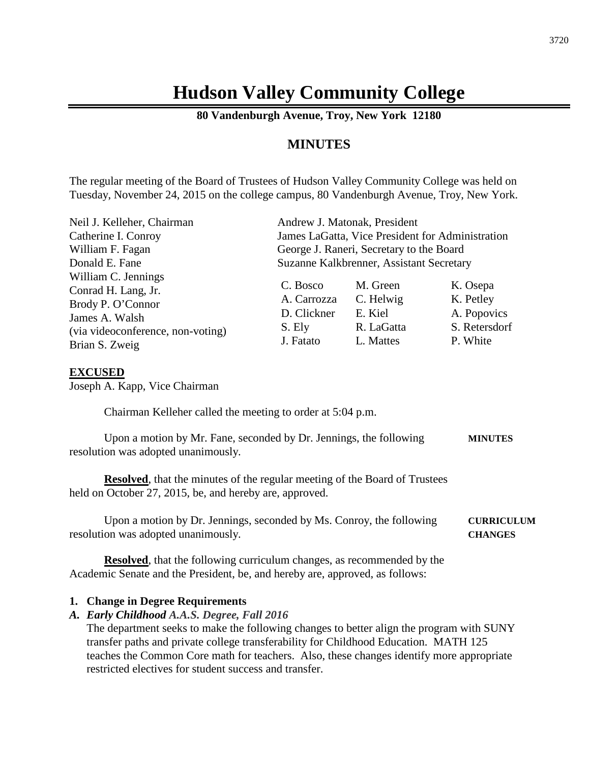## **Hudson Valley Community College**

**80 Vandenburgh Avenue, Troy, New York 12180**

### **MINUTES**

The regular meeting of the Board of Trustees of Hudson Valley Community College was held on Tuesday, November 24, 2015 on the college campus, 80 Vandenburgh Avenue, Troy, New York.

| Neil J. Kelleher, Chairman                                                                                                               | Andrew J. Matonak, President                                  |                                                             |                                                                   |
|------------------------------------------------------------------------------------------------------------------------------------------|---------------------------------------------------------------|-------------------------------------------------------------|-------------------------------------------------------------------|
| Catherine I. Conroy                                                                                                                      | James LaGatta, Vice President for Administration              |                                                             |                                                                   |
| William F. Fagan                                                                                                                         | George J. Raneri, Secretary to the Board                      |                                                             |                                                                   |
| Donald E. Fane                                                                                                                           | Suzanne Kalkbrenner, Assistant Secretary                      |                                                             |                                                                   |
| William C. Jennings<br>Conrad H. Lang, Jr.<br>Brody P. O'Connor<br>James A. Walsh<br>(via videoconference, non-voting)<br>Brian S. Zweig | C. Bosco<br>A. Carrozza<br>D. Clickner<br>S. Ely<br>J. Fatato | M. Green<br>C. Helwig<br>E. Kiel<br>R. LaGatta<br>L. Mattes | K. Osepa<br>K. Petley<br>A. Popovics<br>S. Retersdorf<br>P. White |

#### **EXCUSED**

Joseph A. Kapp, Vice Chairman

Chairman Kelleher called the meeting to order at 5:04 p.m.

| Upon a motion by Mr. Fane, seconded by Dr. Jennings, the following | <b>MINUTES</b> |
|--------------------------------------------------------------------|----------------|
| resolution was adopted unanimously.                                |                |

**Resolved**, that the minutes of the regular meeting of the Board of Trustees held on October 27, 2015, be, and hereby are, approved.

Upon a motion by Dr. Jennings, seconded by Ms. Conroy, the following **CURRICULUM** resolution was adopted unanimously. **CHANGES**

**Resolved**, that the following curriculum changes, as recommended by the Academic Senate and the President, be, and hereby are, approved, as follows:

#### **1. Change in Degree Requirements**

#### *A. Early Childhood A.A.S. Degree, Fall 2016*

The department seeks to make the following changes to better align the program with SUNY transfer paths and private college transferability for Childhood Education. MATH 125 teaches the Common Core math for teachers. Also, these changes identify more appropriate restricted electives for student success and transfer.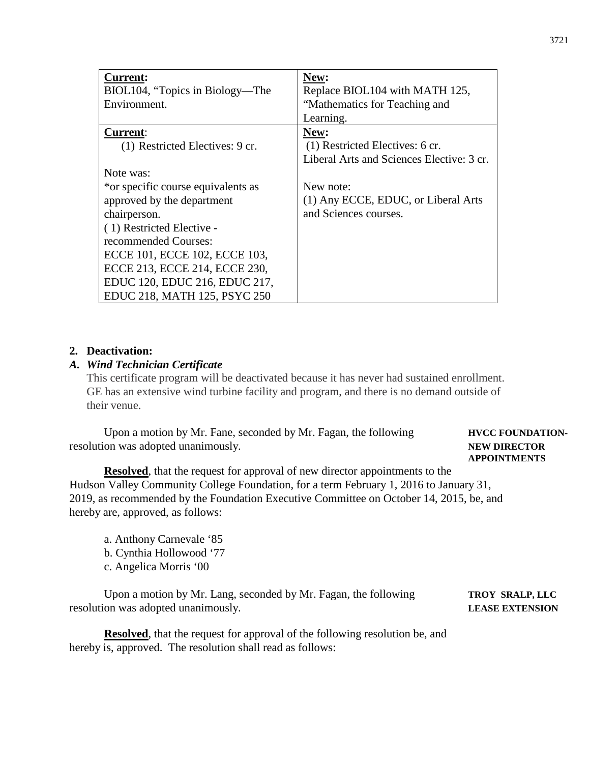| <b>Current:</b>                    | New:                                      |
|------------------------------------|-------------------------------------------|
| BIOL104, "Topics in Biology—The    | Replace BIOL104 with MATH 125,            |
| Environment.                       | "Mathematics for Teaching and             |
|                                    | Learning.                                 |
| <b>Current:</b>                    | New:                                      |
| (1) Restricted Electives: 9 cr.    | (1) Restricted Electives: 6 cr.           |
|                                    | Liberal Arts and Sciences Elective: 3 cr. |
| Note was:                          |                                           |
| *or specific course equivalents as | New note:                                 |
| approved by the department         | (1) Any ECCE, EDUC, or Liberal Arts       |
| chairperson.                       | and Sciences courses.                     |
| (1) Restricted Elective -          |                                           |
| recommended Courses:               |                                           |
| ECCE 101, ECCE 102, ECCE 103,      |                                           |
| ECCE 213, ECCE 214, ECCE 230,      |                                           |
| EDUC 120, EDUC 216, EDUC 217,      |                                           |
| EDUC 218, MATH 125, PSYC 250       |                                           |

#### **2. Deactivation:**

#### *A. Wind Technician Certificate*

This certificate program will be deactivated because it has never had sustained enrollment. GE has an extensive wind turbine facility and program, and there is no demand outside of their venue.

Upon a motion by Mr. Fane, seconded by Mr. Fagan, the following **HVCC FOUNDATION**resolution was adopted unanimously. **NEW DIRECTOR**

# **APPOINTMENTS**

**Resolved**, that the request for approval of new director appointments to the Hudson Valley Community College Foundation, for a term February 1, 2016 to January 31, 2019, as recommended by the Foundation Executive Committee on October 14, 2015, be, and hereby are, approved, as follows:

- a. Anthony Carnevale '85
- b. Cynthia Hollowood '77
- c. Angelica Morris '00

Upon a motion by Mr. Lang, seconded by Mr. Fagan, the following **TROY SRALP, LLC** resolution was adopted unanimously. **LEASE EXTENSION**

**Resolved**, that the request for approval of the following resolution be, and hereby is, approved. The resolution shall read as follows: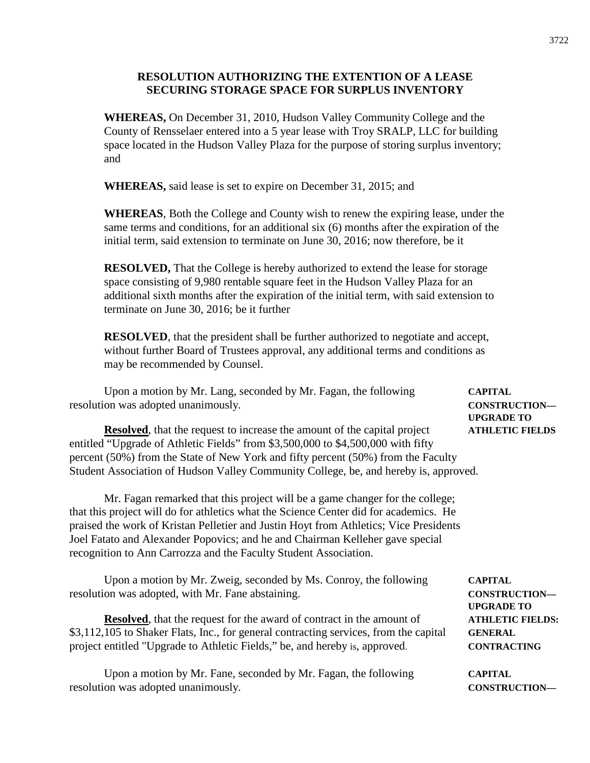#### **RESOLUTION AUTHORIZING THE EXTENTION OF A LEASE SECURING STORAGE SPACE FOR SURPLUS INVENTORY**

**WHEREAS,** On December 31, 2010, Hudson Valley Community College and the County of Rensselaer entered into a 5 year lease with Troy SRALP, LLC for building space located in the Hudson Valley Plaza for the purpose of storing surplus inventory; and

**WHEREAS,** said lease is set to expire on December 31, 2015; and

**WHEREAS**, Both the College and County wish to renew the expiring lease, under the same terms and conditions, for an additional six (6) months after the expiration of the initial term, said extension to terminate on June 30, 2016; now therefore, be it

**RESOLVED,** That the College is hereby authorized to extend the lease for storage space consisting of 9,980 rentable square feet in the Hudson Valley Plaza for an additional sixth months after the expiration of the initial term, with said extension to terminate on June 30, 2016; be it further

**RESOLVED**, that the president shall be further authorized to negotiate and accept, without further Board of Trustees approval, any additional terms and conditions as may be recommended by Counsel.

Upon a motion by Mr. Lang, seconded by Mr. Fagan, the following **CAPITAL**  resolution was adopted unanimously. **CONSTRUCTION—**

**Resolved**, that the request to increase the amount of the capital project **ATHLETIC FIELDS** entitled "Upgrade of Athletic Fields" from \$3,500,000 to \$4,500,000 with fifty percent (50%) from the State of New York and fifty percent (50%) from the Faculty Student Association of Hudson Valley Community College, be, and hereby is, approved.

Mr. Fagan remarked that this project will be a game changer for the college; that this project will do for athletics what the Science Center did for academics. He praised the work of Kristan Pelletier and Justin Hoyt from Athletics; Vice Presidents Joel Fatato and Alexander Popovics; and he and Chairman Kelleher gave special recognition to Ann Carrozza and the Faculty Student Association.

Upon a motion by Mr. Zweig, seconded by Ms. Conroy, the following **CAPITAL**  resolution was adopted, with Mr. Fane abstaining. **CONSTRUCTION—**

**Resolved**, that the request for the award of contract in the amount of **ATHLETIC FIELDS:** \$3,112,105 to Shaker Flats, Inc., for general contracting services, from the capital **GENERAL** project entitled "Upgrade to Athletic Fields," be, and hereby is, approved. **CONTRACTING** 

Upon a motion by Mr. Fane, seconded by Mr. Fagan, the following **CAPITAL** resolution was adopted unanimously. **CONSTRUCTION—**

**UPGRADE TO**

**UPGRADE TO**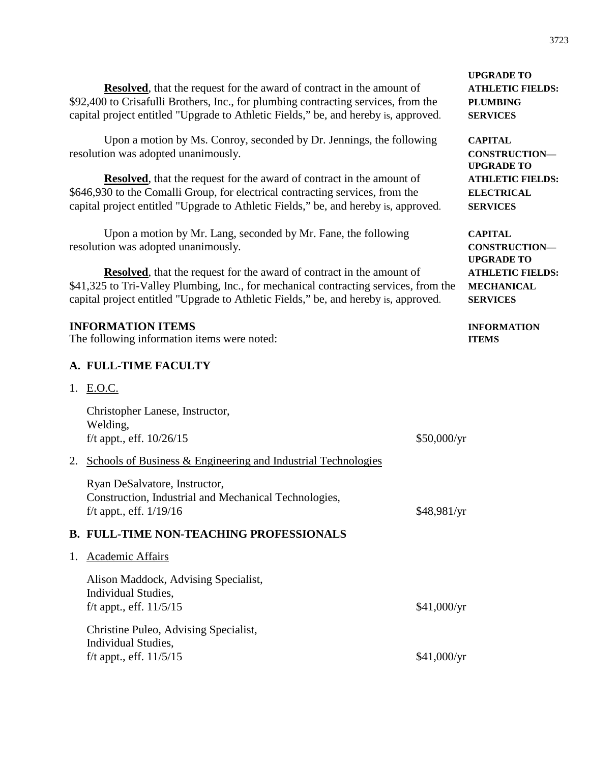**Resolved**, that the request for the award of contract in the amount of **ATHLETIC FIELDS:** \$92,400 to Crisafulli Brothers, Inc., for plumbing contracting services, from the **PLUMBING** capital project entitled "Upgrade to Athletic Fields," be, and hereby is, approved. **SERVICES**

Upon a motion by Ms. Conroy, seconded by Dr. Jennings, the following **CAPITAL**  resolution was adopted unanimously. **CONSTRUCTION—**

**Resolved**, that the request for the award of contract in the amount of **ATHLETIC FIELDS:** \$646,930 to the Comalli Group, for electrical contracting services, from the **ELECTRICAL** capital project entitled "Upgrade to Athletic Fields," be, and hereby is, approved. **SERVICES**

Upon a motion by Mr. Lang, seconded by Mr. Fane, the following **CAPITAL**  resolution was adopted unanimously. **CONSTRUCTION—**

**Resolved**, that the request for the award of contract in the amount of **ATHLETIC FIELDS:** \$41,325 to Tri-Valley Plumbing, Inc., for mechanical contracting services, from the **MECHANICAL** capital project entitled "Upgrade to Athletic Fields," be, and hereby is, approved. **SERVICES**

#### **INFORMATION ITEMS INFORMATION**

The following information items were noted: **ITEMS** 

#### **A. FULL-TIME FACULTY**

1. E.O.C.

|    | Christopher Lanese, Instructor,<br>Welding,<br>f/t appt., eff. $10/26/15$                                           | \$50,000/yr |
|----|---------------------------------------------------------------------------------------------------------------------|-------------|
| 2. | <b>Schools of Business &amp; Engineering and Industrial Technologies</b>                                            |             |
|    | Ryan DeSalvatore, Instructor,<br>Construction, Industrial and Mechanical Technologies,<br>f/t appt., eff. $1/19/16$ | \$48,981/yr |
|    | <b>B. FULL-TIME NON-TEACHING PROFESSIONALS</b>                                                                      |             |
| 1. | Academic Affairs                                                                                                    |             |
|    | Alison Maddock, Advising Specialist,<br>Individual Studies,<br>f/t appt., eff. $11/5/15$                            | \$41,000/yr |
|    | Christine Puleo, Advising Specialist,<br>Individual Studies,<br>f/t appt., eff. $11/5/15$                           | \$41,000/yr |
|    |                                                                                                                     |             |

**UPGRADE TO**

**UPGRADE TO**

**UPGRADE TO**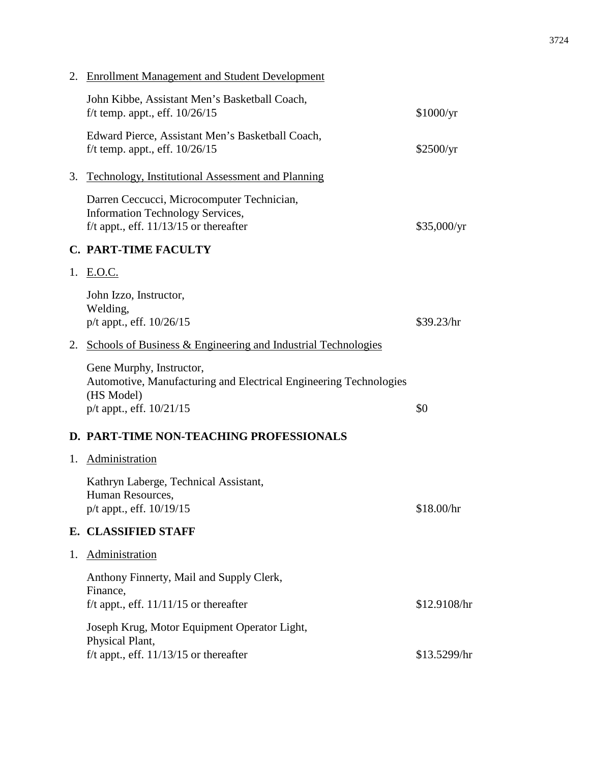|    | 2. Enrollment Management and Student Development                                                                                        |              |
|----|-----------------------------------------------------------------------------------------------------------------------------------------|--------------|
|    | John Kibbe, Assistant Men's Basketball Coach,<br>f/t temp. appt., eff. $10/26/15$                                                       | \$1000/yr    |
|    | Edward Pierce, Assistant Men's Basketball Coach,<br>f/t temp. appt., eff. $10/26/15$                                                    | \$2500/yr    |
| 3. | <b>Technology, Institutional Assessment and Planning</b>                                                                                |              |
|    | Darren Ceccucci, Microcomputer Technician,<br>Information Technology Services,<br>f/t appt., eff. $11/13/15$ or thereafter              | \$35,000/yr  |
|    | <b>C. PART-TIME FACULTY</b>                                                                                                             |              |
|    | 1. E.O.C.                                                                                                                               |              |
|    | John Izzo, Instructor,<br>Welding,<br>p/t appt., eff. 10/26/15                                                                          | \$39.23/hr   |
| 2. | <b>Schools of Business &amp; Engineering and Industrial Technologies</b>                                                                |              |
|    | Gene Murphy, Instructor,<br>Automotive, Manufacturing and Electrical Engineering Technologies<br>(HS Model)<br>p/t appt., eff. 10/21/15 | \$0          |
|    | D. PART-TIME NON-TEACHING PROFESSIONALS                                                                                                 |              |
| 1. | Administration                                                                                                                          |              |
|    | Kathryn Laberge, Technical Assistant,<br>Human Resources,<br>$p/t$ appt., eff. $10/19/15$                                               | \$18.00/hr   |
|    | E. CLASSIFIED STAFF                                                                                                                     |              |
| 1. | Administration                                                                                                                          |              |
|    | Anthony Finnerty, Mail and Supply Clerk,<br>Finance,<br>f/t appt., eff. $11/11/15$ or thereafter                                        | \$12.9108/hr |
|    | Joseph Krug, Motor Equipment Operator Light,<br>Physical Plant,<br>f/t appt., eff. $11/13/15$ or thereafter                             | \$13.5299/hr |
|    |                                                                                                                                         |              |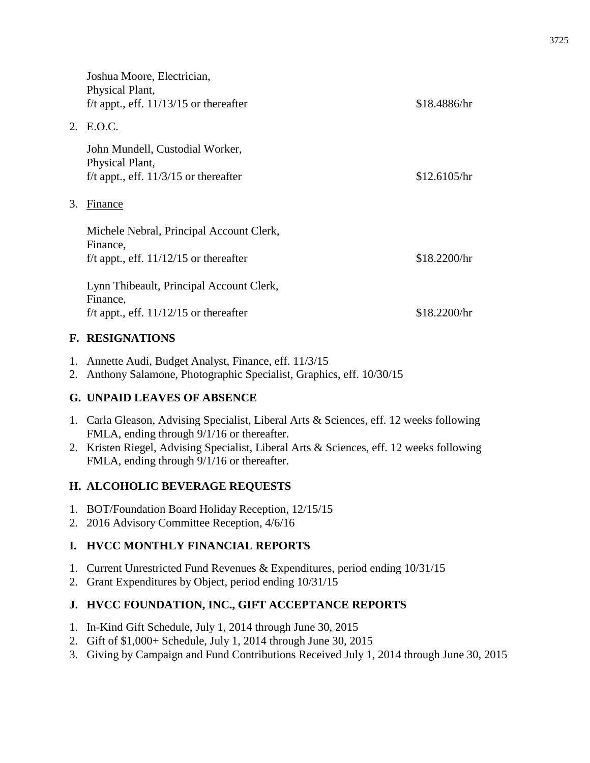|    | Joshua Moore, Electrician,<br>Physical Plant,<br>f/t appt., eff. $11/13/15$ or thereafter        | \$18.4886/hr |
|----|--------------------------------------------------------------------------------------------------|--------------|
| 2. | <u>E.O.C.</u>                                                                                    |              |
|    | John Mundell, Custodial Worker,<br>Physical Plant,<br>f/t appt., eff. $11/3/15$ or thereafter    | \$12.6105/hr |
| 3. | Finance                                                                                          |              |
|    | Michele Nebral, Principal Account Clerk,<br>Finance,<br>f/t appt., eff. $11/12/15$ or thereafter | \$18.2200/hr |
|    | Lynn Thibeault, Principal Account Clerk,<br>Finance,<br>f/t appt., eff. $11/12/15$ or thereafter | \$18.2200/hr |

#### **F. RESIGNATIONS**

- 1. Annette Audi, Budget Analyst, Finance, eff. 11/3/15
- 2. Anthony Salamone, Photographic Specialist, Graphics, eff. 10/30/15

#### **G. UNPAID LEAVES OF ABSENCE**

- 1. Carla Gleason, Advising Specialist, Liberal Arts & Sciences, eff. 12 weeks following FMLA, ending through 9/1/16 or thereafter.
- 2. Kristen Riegel, Advising Specialist, Liberal Arts & Sciences, eff. 12 weeks following FMLA, ending through 9/1/16 or thereafter.

#### **H. ALCOHOLIC BEVERAGE REQUESTS**

- 1. BOT/Foundation Board Holiday Reception, 12/15/15
- 2. 2016 Advisory Committee Reception, 4/6/16

#### **I. HVCC MONTHLY FINANCIAL REPORTS**

- 1. Current Unrestricted Fund Revenues & Expenditures, period ending 10/31/15
- 2. Grant Expenditures by Object, period ending 10/31/15

#### **J. HVCC FOUNDATION, INC., GIFT ACCEPTANCE REPORTS**

- 1. In-Kind Gift Schedule, July 1, 2014 through June 30, 2015
- 2. Gift of \$1,000+ Schedule, July 1, 2014 through June 30, 2015
- 3. Giving by Campaign and Fund Contributions Received July 1, 2014 through June 30, 2015